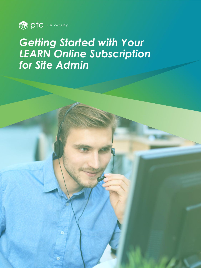

# *Getting Started with Your LEARN Online Subscription for Site Admin*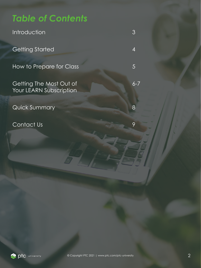# *Table of Contents*

*Introduction 3*

*Getting Started 4*

*How to Prepare for Class 5*

Getting The Most Out of 6-7 *Your LEARN Subscription*

*Quick Summary 8*

*Contact Us 9*

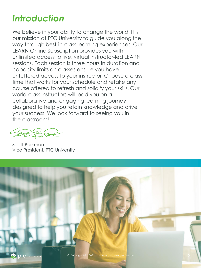# *Introduction*

*We believe in your ability to change the world. It is our mission at PTC University to guide you along the way through best-in-class learning experiences. Our LEARN Online Subscription provides you with unlimited access to live, virtual instructor-led LEARN sessions. Each session is three hours in duration and capacity limits on classes ensure you have unfettered access to your instructor. Choose a class time that works for your schedule and retake any course offered to refresh and solidify your skills. Our world-class instructors will lead you on a collaborative and engaging learning journey designed to help you retain knowledge and drive your success. We look forward to seeing you in the classroom!*

*Scott Barkman Vice President, PTC University*

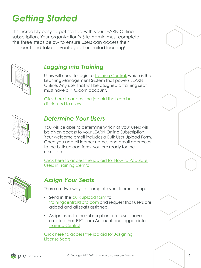# *Getting Started*

It's incredibly easy to get started with your LEARN Online *subscription. Your organization's Site Admin must complete the three steps below to ensure users can access their account and take advantage of unlimited learning!* 



## *Logging into Training*

*Users will need to login to [Training Central,](https://trainingcentral.ptcu.com/) which is the Learning Management System that powers LEARN Online. Any user that will be assigned a training seat must have a PTC.com account.*

*[Click here to access the job aid that can be](https://www.ptc.com/-/media/ptc-university/help-documents/training-central/getting-started-with-your-learn-online-subscription-for-users.pdf)  distributed to users.* 



#### *Determine Your Users*

You will be able to determine which of your users will *be given access to your LEARN Online Subscription. Your welcome email includes a Bulk User Upload Form. Once you add all learner names and email addresses to the bulk upload form, you are ready for the next step.*

*[Click here to access the job aid for How to Populate](https://www.ptc.com/-/media/ptc-university/help-documents/training-central/how-to-populate-users-into-training-central.pdf)  Users in Training Central.*



## *Assign Your Seats*

*There are two ways to complete your learner setup:*

- *Send in the [bulk upload form](https://www.ptc.com/-/media/ptc-university/help-documents/general/bulk-user-upload-form-ptc-university.csv) to [trainingcentral@ptc.com](mailto:trainingcentral@ptc.com) and request that users are added and all seats assigned.*
- *Assign users to the subscription after users have created their PTC.com Account and logged into [Training Central.](https://trainingcentral.ptcu.com/)*

*[Click here to access the job aid for Assigning](https://www.ptc.com/-/media/ptc-university/help-documents/training-central/how-to-assign-license-seats.pdf)  License Seats.*

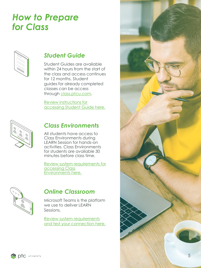# *How to Prepare for Class*



### *Student Guide*

*Student Guides are available within 24 hours from the start of the class and access continues for 12 months. Student guides for already completed classes can be access through [class.ptcu.com.](https://class.ptcu.com/)*

*Review instructions for [accessing Student Guide here.](https://www.ptc.com/-/media/ptc-university/help-documents/training-central/how-to-access-your-student-guide.pdf)*



#### *Class Environments*

*All students have access to Class Environments during LEARN Session for hands-on activities. Class Environments for students are available 30 minutes before class time.*

*[Review system requirements for](https://www.ptc.com/-/media/ptc-university/help-documents/training-central/general-system-requirements.pdf)  accessing Class Environments here.*



#### *Online Classroom*

*Microsoft Teams is the platform we use to deliver LEARN Sessions.*

*Review system requirements [and test your connection here.](https://www.ptc.com/-/media/ptc-university/help-documents/training-central/general-system-requirements.pdf)*

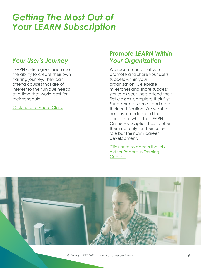## *Getting The Most Out of Your LEARN Subscription*

#### *Your User's Journey*

*LEARN Online gives each user the ability to create their own training journey. They can attend courses that are of interest to their unique needs at a time that works best for their schedule.*

*[Click here to Find a Class.](https://www.ptc.com/en/ptc-university/instructor-led-training/)*

### *Promote LEARN Within Your Organization*

*We recommend that you promote and share your users success within your organization. Celebrate milestones and share success stories as your users attend their first classes, complete their first Fundamentals series, and earn their certification! We want to help users understand the benefits of what the LEARN Online subscription has to offer them not only for their current role but their own career development.*

*[Click here to access the job](https://www.ptc.com/-/media/ptc-university/help-documents/training-central/reports-in-training-central.pdf)  aid for Reports in Training Central.*

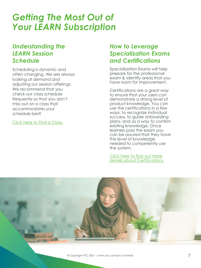## *Getting The Most Out of Your LEARN Subscription*

#### *Understanding the LEARN Session Schedule*

*Scheduling is dynamic and often changing. We are always looking at demand and adjusting our session offerings. We recommend that you check our class schedule frequently so that you don't miss out on a class that accommodates your schedule best!*

*[Click here to Find a Class.](https://www.ptc.com/en/ptc-university/instructor-led-training/)*

### *How to Leverage Specialization Exams and Certifications*

*Specialization Exams will help prepare for the professional exam & identify areas that you have room for improvement.*

*Certifications are a great way to ensure that your users can demonstrate a strong level of product knowledge. You can use the certifications in a few ways: to recognize individual success, to guide onboarding plans, and as a way to confirm existing knowledge. Once learners pass the exam you can be assured that they have the level of knowledge needed to competently use the system.*

*Click here to find out more [details about Certifications.](https://www.ptc.com/en/ptc-university/certifications)*

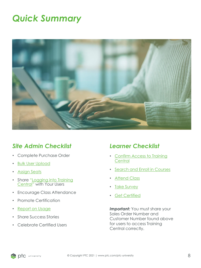# *Quick Summary*



#### *Site Admin Checklist*

- *Complete Purchase Order*
- *[Bulk User Upload](https://www.ptc.com/-/media/ptc-university/help-documents/training-central/how-to-assign-license-seats.pdf)*
- *[Assign Seats](https://www.ptc.com/-/media/ptc-university/help-documents/training-central/how-to-assign-license-seats.pdf)*
- *Share "[Logging into Training](https://www.ptc.com/-/media/ptc-university/help-documents/training-central/logging-into-training-central.pdf) Central" with Your Users*
- *Encourage Class Attendance*
- *Promote Certification*
- *[Report on Usage](https://www.ptc.com/-/media/ptc-university/help-documents/training-central/reports-in-training-central.pdf)*
- *Share Success Stories*
- *Celebrate Certified Users*

#### *Learner Checklist*

- *[Confirm Access to Training](https://www.ptc.com/-/media/ptc-university/help-documents/training-central/logging-into-training-central.pdf)  Central*
- *[Search and Enroll in Courses](https://www.ptc.com/-/media/ptc-university/help-documents/training-central/how-to-search-and-enroll-in-a-session.pdf)*
- *[Attend Class](https://www.ptc.com/-/media/ptc-university/help-documents/training-central/how-to-join-your-class.pdf)*
- *[Take Survey](https://www.ptc.com/-/media/ptc-university/help-documents/training-central/how-to-complete-the-session-survey.pdf)*
- *[Get Certified](https://www.ptc.com/-/media/ptc-university/help-documents/training-central/how-to-enroll-in-a-certification-exam.pdf)*

*Important: You must share your Sales Order Number and Customer Number found above for users to access Training Central correctly.*